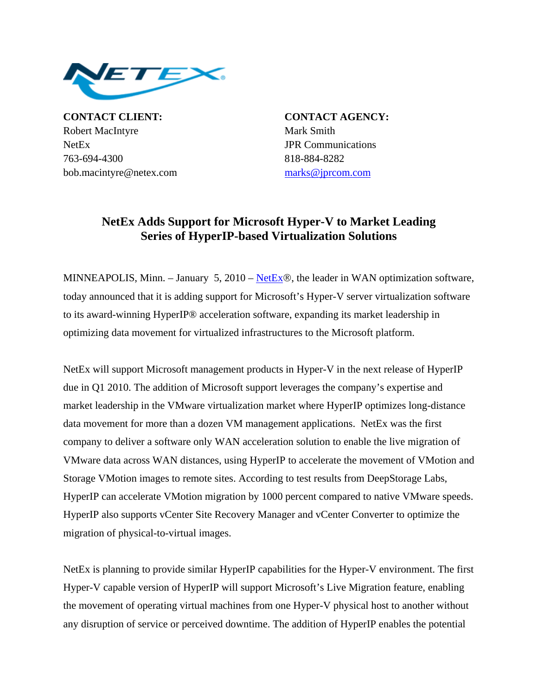

**CONTACT CLIENT: CONTACT AGENCY:** Robert MacIntyre Mark Smith NetEx JPR Communications 763-694-4300 818-884-8282 bob.macintyre@netex.com [marks@jprcom.com](mailto:marks@jprcom.com)

## **NetEx Adds Support for Microsoft Hyper-V to Market Leading Series of HyperIP-based Virtualization Solutions**

MINNEAPOLIS, Minn. – January 5, 2010 – [NetEx](http://www.netex.com/)®, the leader in WAN optimization software, today announced that it is adding support for Microsoft's Hyper-V server virtualization software to its award-winning HyperIP® acceleration software, expanding its market leadership in optimizing data movement for virtualized infrastructures to the Microsoft platform.

NetEx will support Microsoft management products in Hyper-V in the next release of HyperIP due in Q1 2010. The addition of Microsoft support leverages the company's expertise and market leadership in the VMware virtualization market where HyperIP optimizes long-distance data movement for more than a dozen VM management applications. NetEx was the first company to deliver a software only WAN acceleration solution to enable the live migration of VMware data across WAN distances, using HyperIP to accelerate the movement of VMotion and Storage VMotion images to remote sites. According to test results from DeepStorage Labs, HyperIP can accelerate VMotion migration by 1000 percent compared to native VMware speeds. HyperIP also supports vCenter Site Recovery Manager and vCenter Converter to optimize the migration of physical-to-virtual images.

NetEx is planning to provide similar HyperIP capabilities for the Hyper-V environment. The first Hyper-V capable version of HyperIP will support Microsoft's Live Migration feature, enabling the movement of operating virtual machines from one Hyper-V physical host to another without any disruption of service or perceived downtime. The addition of HyperIP enables the potential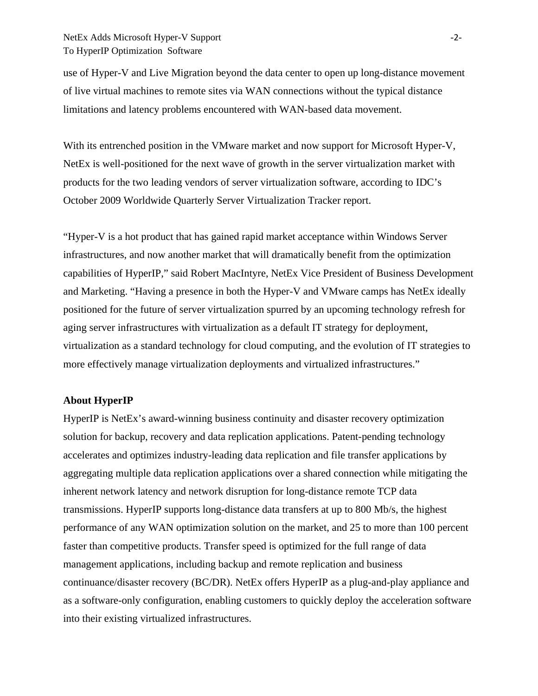## NetEx Adds Microsoft Hyper-V Support  $-2$ -To HyperIP Optimization Software

use of Hyper-V and Live Migration beyond the data center to open up long-distance movement of live virtual machines to remote sites via WAN connections without the typical distance limitations and latency problems encountered with WAN-based data movement.

With its entrenched position in the VMware market and now support for Microsoft Hyper-V, NetEx is well-positioned for the next wave of growth in the server virtualization market with products for the two leading vendors of server virtualization software, according to IDC's October 2009 Worldwide Quarterly Server Virtualization Tracker report.

"Hyper-V is a hot product that has gained rapid market acceptance within Windows Server infrastructures, and now another market that will dramatically benefit from the optimization capabilities of HyperIP," said Robert MacIntyre, NetEx Vice President of Business Development and Marketing. "Having a presence in both the Hyper-V and VMware camps has NetEx ideally positioned for the future of server virtualization spurred by an upcoming technology refresh for aging server infrastructures with virtualization as a default IT strategy for deployment, virtualization as a standard technology for cloud computing, and the evolution of IT strategies to more effectively manage virtualization deployments and virtualized infrastructures."

## **About HyperIP**

HyperIP is NetEx's award-winning business continuity and disaster recovery optimization solution for backup, recovery and data replication applications. Patent-pending technology accelerates and optimizes industry-leading data replication and file transfer applications by aggregating multiple data replication applications over a shared connection while mitigating the inherent network latency and network disruption for long-distance remote TCP data transmissions. HyperIP supports long-distance data transfers at up to 800 Mb/s, the highest performance of any WAN optimization solution on the market, and 25 to more than 100 percent faster than competitive products. Transfer speed is optimized for the full range of data management applications, including backup and remote replication and business continuance/disaster recovery (BC/DR). NetEx offers HyperIP as a plug-and-play appliance and as a software-only configuration, enabling customers to quickly deploy the acceleration software into their existing virtualized infrastructures.